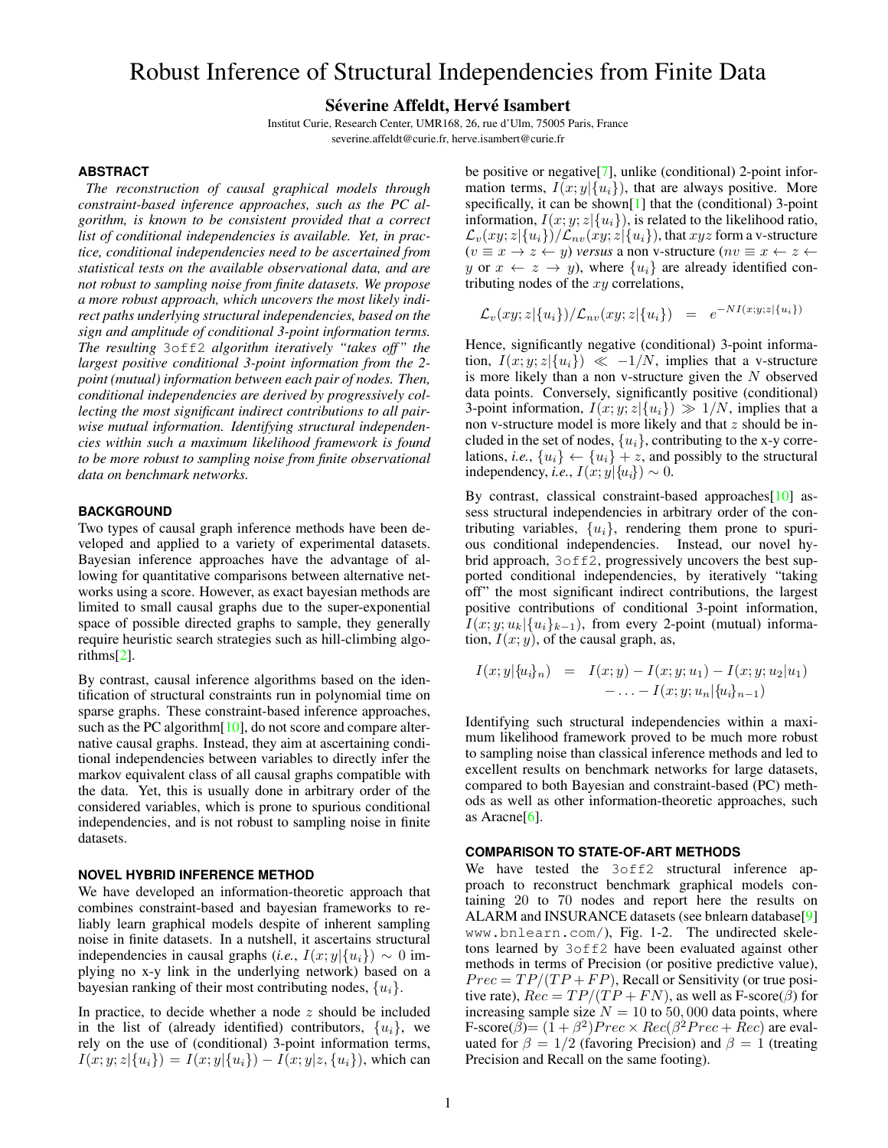# Robust Inference of Structural Independencies from Finite Data

## Séverine Affeldt, Hervé Isambert

Institut Curie, Research Center, UMR168, 26, rue d'Ulm, 75005 Paris, France severine.affeldt@curie.fr, herve.isambert@curie.fr

#### **ABSTRACT**

*The reconstruction of causal graphical models through constraint-based inference approaches, such as the PC algorithm, is known to be consistent provided that a correct list of conditional independencies is available. Yet, in practice, conditional independencies need to be ascertained from statistical tests on the available observational data, and are not robust to sampling noise from finite datasets. We propose a more robust approach, which uncovers the most likely indirect paths underlying structural independencies, based on the sign and amplitude of conditional 3-point information terms. The resulting* 3off2 *algorithm iteratively "takes off" the largest positive conditional 3-point information from the 2 point (mutual) information between each pair of nodes. Then, conditional independencies are derived by progressively collecting the most significant indirect contributions to all pairwise mutual information. Identifying structural independencies within such a maximum likelihood framework is found to be more robust to sampling noise from finite observational data on benchmark networks.*

#### **BACKGROUND**

Two types of causal graph inference methods have been developed and applied to a variety of experimental datasets. Bayesian inference approaches have the advantage of allowing for quantitative comparisons between alternative networks using a score. However, as exact bayesian methods are limited to small causal graphs due to the super-exponential space of possible directed graphs to sample, they generally require heuristic search strategies such as hill-climbing algorithms[\[2\]](#page-1-0).

By contrast, causal inference algorithms based on the identification of structural constraints run in polynomial time on sparse graphs. These constraint-based inference approaches, such as the PC algorithm<sup>[\[10\]](#page-1-1)</sup>, do not score and compare alternative causal graphs. Instead, they aim at ascertaining conditional independencies between variables to directly infer the markov equivalent class of all causal graphs compatible with the data. Yet, this is usually done in arbitrary order of the considered variables, which is prone to spurious conditional independencies, and is not robust to sampling noise in finite datasets.

## **NOVEL HYBRID INFERENCE METHOD**

We have developed an information-theoretic approach that combines constraint-based and bayesian frameworks to reliably learn graphical models despite of inherent sampling noise in finite datasets. In a nutshell, it ascertains structural independencies in causal graphs (*i.e.*,  $I(x; y | \{u_i\}) \sim 0$  implying no x-y link in the underlying network) based on a bayesian ranking of their most contributing nodes,  $\{u_i\}$ .

In practice, to decide whether a node  $z$  should be included in the list of (already identified) contributors,  $\{u_i\}$ , we rely on the use of (conditional) 3-point information terms,  $I(x; y; z | \{u_i\}) = I(x; y | \{u_i\}) - I(x; y | z, \{u_i\})$ , which can be positive or negative[\[7\]](#page-1-2), unlike (conditional) 2-point information terms,  $I(x; y | \{u_i\})$ , that are always positive. More specifically, it can be shown[\[1\]](#page-1-3) that the (conditional) 3-point information,  $I(x; y; z | \{u_i\})$ , is related to the likelihood ratio,  $\mathcal{L}_v(xy; z|\{u_i\})/\mathcal{L}_{nv}(xy; z|\{u_i\})$ , that  $xyz$  form a v-structure  $(v \equiv x \rightarrow z \leftarrow y)$  *versus* a non v-structure  $(nv \equiv x \leftarrow z \leftarrow z)$ y or  $x \leftarrow z \rightarrow y$ , where  $\{u_i\}$  are already identified contributing nodes of the  $xy$  correlations,

$$
\mathcal{L}_v(xy; z | \{u_i\}) / \mathcal{L}_{nv}(xy; z | \{u_i\}) = e^{-NI(x; y; z | \{u_i\})}
$$

Hence, significantly negative (conditional) 3-point information,  $I(x; y; z | \{u_i\}) \ll -1/N$ , implies that a v-structure is more likely than a non v-structure given the N observed data points. Conversely, significantly positive (conditional) 3-point information,  $I(x; y; z | \{u_i\}) \gg 1/N$ , implies that a non v-structure model is more likely and that  $z$  should be included in the set of nodes,  $\{u_i\}$ , contributing to the x-y correlations, *i.e.*,  $\{u_i\} \leftarrow \{u_i\} + z$ , and possibly to the structural independency, *i.e.*,  $I(x; y | \{u_i\}) \sim 0$ .

By contrast, classical constraint-based approaches[\[10\]](#page-1-1) assess structural independencies in arbitrary order of the contributing variables,  $\{u_i\}$ , rendering them prone to spurious conditional independencies. Instead, our novel hybrid approach, 3off2, progressively uncovers the best supported conditional independencies, by iteratively "taking off" the most significant indirect contributions, the largest positive contributions of conditional 3-point information,  $I(x; y; u_k | \{u_i\}_{k-1})$ , from every 2-point (mutual) information,  $I(x; y)$ , of the causal graph, as,

$$
I(x; y | \{u_i\}_n) = I(x; y) - I(x; y; u_1) - I(x; y; u_2 | u_1) - \ldots - I(x; y; u_n | \{u_i\}_{n-1})
$$

Identifying such structural independencies within a maximum likelihood framework proved to be much more robust to sampling noise than classical inference methods and led to excellent results on benchmark networks for large datasets, compared to both Bayesian and constraint-based (PC) methods as well as other information-theoretic approaches, such as Aracne $[6]$ .

#### **COMPARISON TO STATE-OF-ART METHODS**

We have tested the 3off2 structural inference approach to reconstruct benchmark graphical models containing 20 to 70 nodes and report here the results on ALARM and INSURANCE datasets (see bnlearn database[\[9\]](#page-1-5) www.bnlearn.com/), Fig. [1](#page-1-6)[-2.](#page-1-7) The undirected skeletons learned by 3off2 have been evaluated against other methods in terms of Precision (or positive predictive value),  $Prec = TP/(TP + FP)$ , Recall or Sensitivity (or true positive rate),  $Rec = TP/(TP + FN)$ , as well as F-score( $\hat{\beta}$ ) for increasing sample size  $N = 10$  to 50,000 data points, where F-score( $\beta$ )=  $(1 + \beta^2)$ Prec  $\times$  Rec( $\beta^2$ Prec + Rec) are evaluated for  $\beta = 1/2$  (favoring Precision) and  $\beta = 1$  (treating Precision and Recall on the same footing).